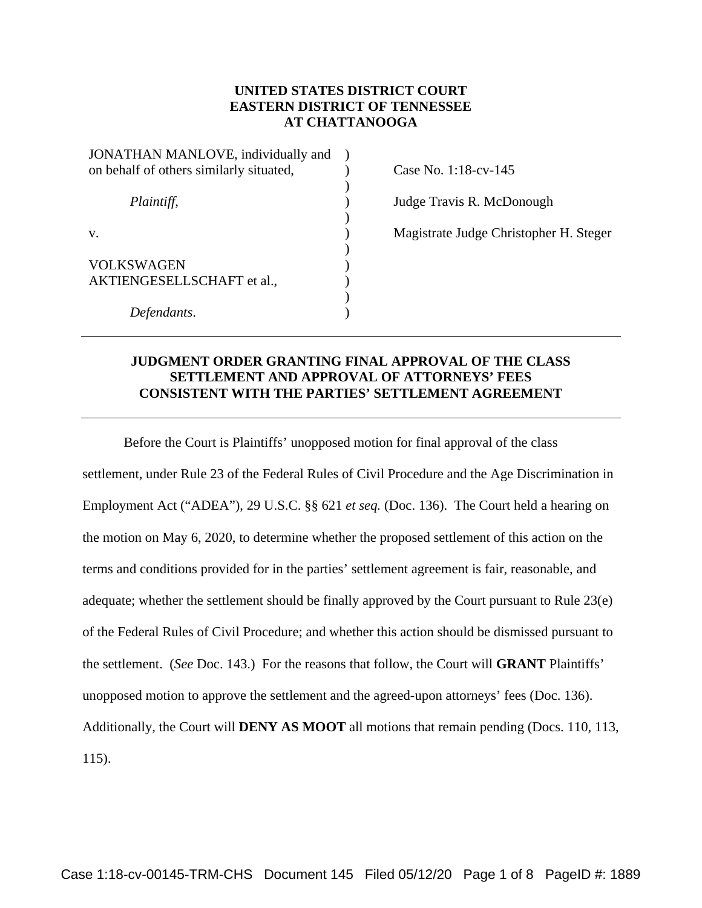### **UNITED STATES DISTRICT COURT EASTERN DISTRICT OF TENNESSEE AT CHATTANOOGA**

) ) ) ) ) )  $\lambda$ )  $\overline{)}$ ) )

| JONATHAN MANLOVE, individually and<br>on behalf of others similarly situated, |
|-------------------------------------------------------------------------------|
| Plaintiff,                                                                    |
| V.                                                                            |
| <b>VOLKSWAGEN</b><br>AKTIENGESELLSCHAFT et al.,                               |
| Defendants.                                                                   |

Case No. 1:18-cv-145

Judge Travis R. McDonough

Magistrate Judge Christopher H. Steger

# **JUDGMENT ORDER GRANTING FINAL APPROVAL OF THE CLASS SETTLEMENT AND APPROVAL OF ATTORNEYS' FEES CONSISTENT WITH THE PARTIES' SETTLEMENT AGREEMENT**

 Before the Court is Plaintiffs' unopposed motion for final approval of the class settlement, under Rule 23 of the Federal Rules of Civil Procedure and the Age Discrimination in Employment Act ("ADEA"), 29 U.S.C. §§ 621 *et seq.* (Doc. 136). The Court held a hearing on the motion on May 6, 2020, to determine whether the proposed settlement of this action on the terms and conditions provided for in the parties' settlement agreement is fair, reasonable, and adequate; whether the settlement should be finally approved by the Court pursuant to Rule 23(e) of the Federal Rules of Civil Procedure; and whether this action should be dismissed pursuant to the settlement. (*See* Doc. 143.) For the reasons that follow, the Court will **GRANT** Plaintiffs' unopposed motion to approve the settlement and the agreed-upon attorneys' fees (Doc. 136). Additionally, the Court will **DENY AS MOOT** all motions that remain pending (Docs. 110, 113, 115).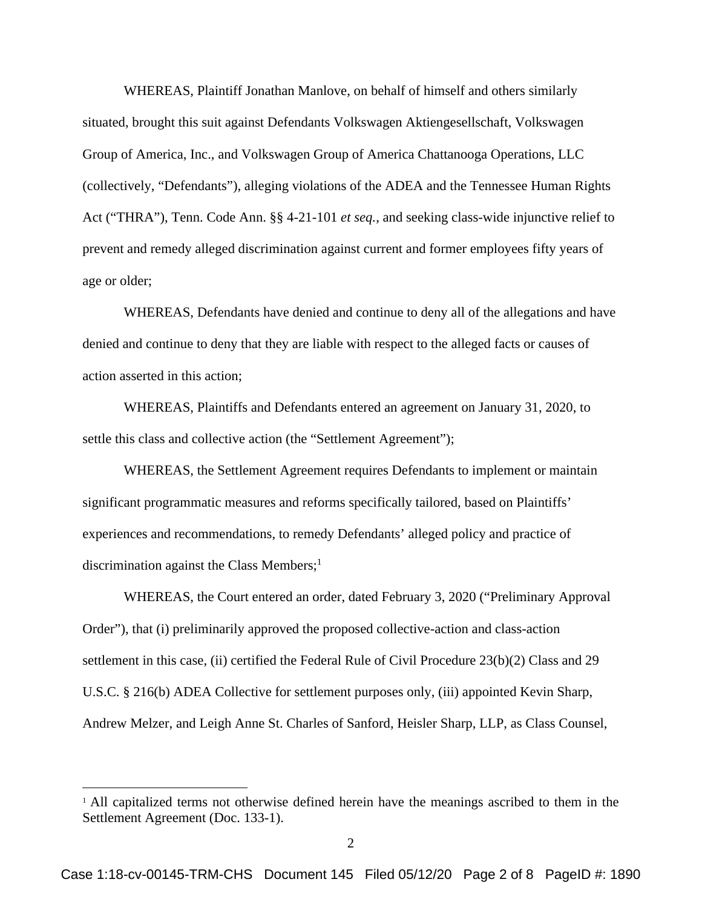WHEREAS, Plaintiff Jonathan Manlove, on behalf of himself and others similarly situated, brought this suit against Defendants Volkswagen Aktiengesellschaft, Volkswagen Group of America, Inc., and Volkswagen Group of America Chattanooga Operations, LLC (collectively, "Defendants"), alleging violations of the ADEA and the Tennessee Human Rights Act ("THRA"), Tenn. Code Ann. §§ 4-21-101 *et seq.*, and seeking class-wide injunctive relief to prevent and remedy alleged discrimination against current and former employees fifty years of age or older;

WHEREAS, Defendants have denied and continue to deny all of the allegations and have denied and continue to deny that they are liable with respect to the alleged facts or causes of action asserted in this action;

WHEREAS, Plaintiffs and Defendants entered an agreement on January 31, 2020, to settle this class and collective action (the "Settlement Agreement");

WHEREAS, the Settlement Agreement requires Defendants to implement or maintain significant programmatic measures and reforms specifically tailored, based on Plaintiffs' experiences and recommendations, to remedy Defendants' alleged policy and practice of discrimination against the Class Members;<sup>1</sup>

WHEREAS, the Court entered an order, dated February 3, 2020 ("Preliminary Approval Order"), that (i) preliminarily approved the proposed collective-action and class-action settlement in this case, (ii) certified the Federal Rule of Civil Procedure 23(b)(2) Class and 29 U.S.C. § 216(b) ADEA Collective for settlement purposes only, (iii) appointed Kevin Sharp, Andrew Melzer, and Leigh Anne St. Charles of Sanford, Heisler Sharp, LLP, as Class Counsel,

<sup>&</sup>lt;sup>1</sup> All capitalized terms not otherwise defined herein have the meanings ascribed to them in the Settlement Agreement (Doc. 133-1).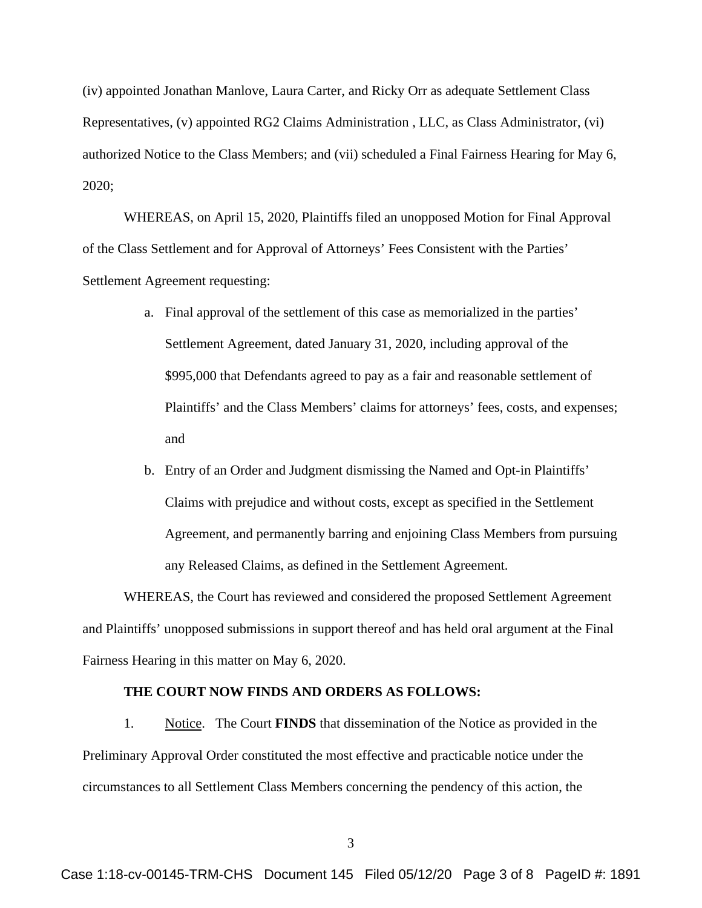(iv) appointed Jonathan Manlove, Laura Carter, and Ricky Orr as adequate Settlement Class Representatives, (v) appointed RG2 Claims Administration , LLC, as Class Administrator, (vi) authorized Notice to the Class Members; and (vii) scheduled a Final Fairness Hearing for May 6, 2020;

WHEREAS, on April 15, 2020, Plaintiffs filed an unopposed Motion for Final Approval of the Class Settlement and for Approval of Attorneys' Fees Consistent with the Parties' Settlement Agreement requesting:

- a. Final approval of the settlement of this case as memorialized in the parties' Settlement Agreement, dated January 31, 2020, including approval of the \$995,000 that Defendants agreed to pay as a fair and reasonable settlement of Plaintiffs' and the Class Members' claims for attorneys' fees, costs, and expenses; and
- b. Entry of an Order and Judgment dismissing the Named and Opt-in Plaintiffs' Claims with prejudice and without costs, except as specified in the Settlement Agreement, and permanently barring and enjoining Class Members from pursuing any Released Claims, as defined in the Settlement Agreement.

WHEREAS, the Court has reviewed and considered the proposed Settlement Agreement and Plaintiffs' unopposed submissions in support thereof and has held oral argument at the Final Fairness Hearing in this matter on May 6, 2020.

### **THE COURT NOW FINDS AND ORDERS AS FOLLOWS:**

1. Notice. The Court **FINDS** that dissemination of the Notice as provided in the Preliminary Approval Order constituted the most effective and practicable notice under the circumstances to all Settlement Class Members concerning the pendency of this action, the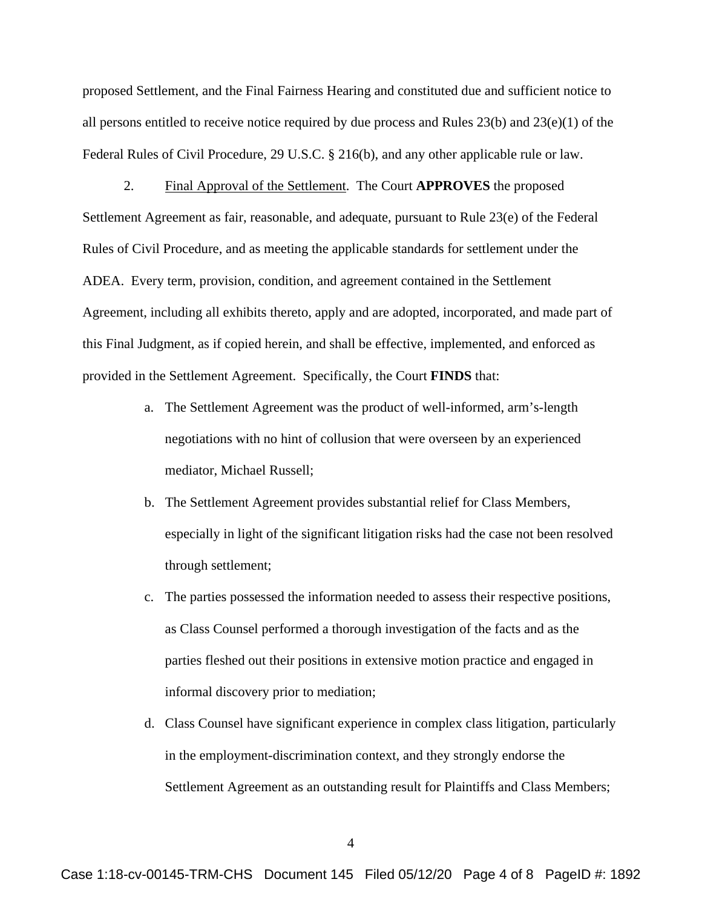proposed Settlement, and the Final Fairness Hearing and constituted due and sufficient notice to all persons entitled to receive notice required by due process and Rules 23(b) and 23(e)(1) of the Federal Rules of Civil Procedure, 29 U.S.C. § 216(b), and any other applicable rule or law.

2. Final Approval of the Settlement. The Court **APPROVES** the proposed Settlement Agreement as fair, reasonable, and adequate, pursuant to Rule 23(e) of the Federal Rules of Civil Procedure, and as meeting the applicable standards for settlement under the ADEA. Every term, provision, condition, and agreement contained in the Settlement Agreement, including all exhibits thereto, apply and are adopted, incorporated, and made part of this Final Judgment, as if copied herein, and shall be effective, implemented, and enforced as provided in the Settlement Agreement. Specifically, the Court **FINDS** that:

- a. The Settlement Agreement was the product of well-informed, arm's-length negotiations with no hint of collusion that were overseen by an experienced mediator, Michael Russell;
- b. The Settlement Agreement provides substantial relief for Class Members, especially in light of the significant litigation risks had the case not been resolved through settlement;
- c. The parties possessed the information needed to assess their respective positions, as Class Counsel performed a thorough investigation of the facts and as the parties fleshed out their positions in extensive motion practice and engaged in informal discovery prior to mediation;
- d. Class Counsel have significant experience in complex class litigation, particularly in the employment-discrimination context, and they strongly endorse the Settlement Agreement as an outstanding result for Plaintiffs and Class Members;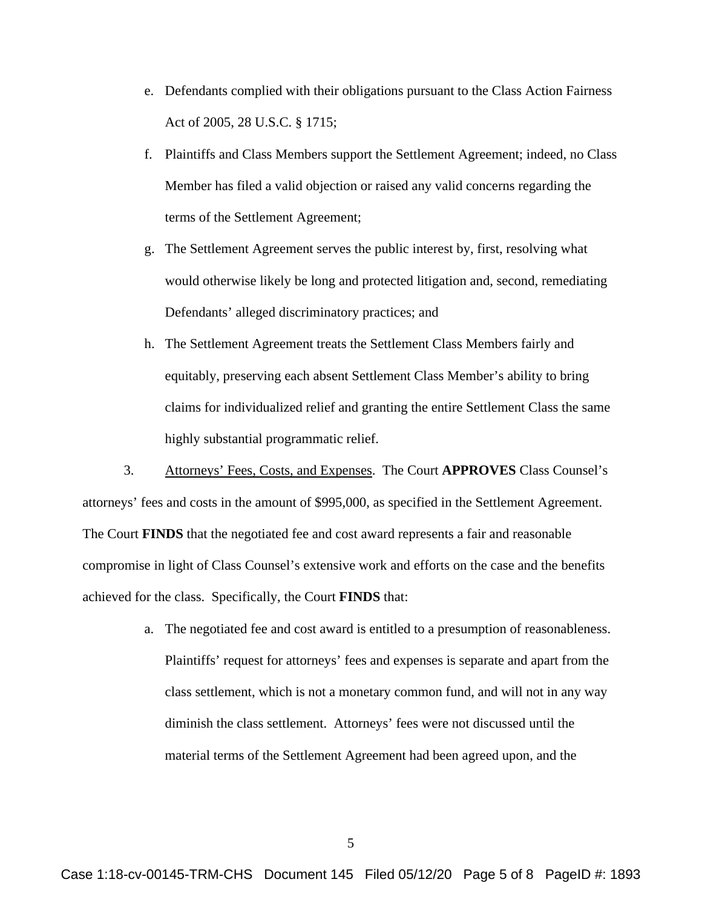- e. Defendants complied with their obligations pursuant to the Class Action Fairness Act of 2005, 28 U.S.C. § 1715;
- f. Plaintiffs and Class Members support the Settlement Agreement; indeed, no Class Member has filed a valid objection or raised any valid concerns regarding the terms of the Settlement Agreement;
- g. The Settlement Agreement serves the public interest by, first, resolving what would otherwise likely be long and protected litigation and, second, remediating Defendants' alleged discriminatory practices; and
- h. The Settlement Agreement treats the Settlement Class Members fairly and equitably, preserving each absent Settlement Class Member's ability to bring claims for individualized relief and granting the entire Settlement Class the same highly substantial programmatic relief.

3. Attorneys' Fees, Costs, and Expenses. The Court **APPROVES** Class Counsel's attorneys' fees and costs in the amount of \$995,000, as specified in the Settlement Agreement. The Court **FINDS** that the negotiated fee and cost award represents a fair and reasonable compromise in light of Class Counsel's extensive work and efforts on the case and the benefits achieved for the class. Specifically, the Court **FINDS** that:

> a. The negotiated fee and cost award is entitled to a presumption of reasonableness. Plaintiffs' request for attorneys' fees and expenses is separate and apart from the class settlement, which is not a monetary common fund, and will not in any way diminish the class settlement. Attorneys' fees were not discussed until the material terms of the Settlement Agreement had been agreed upon, and the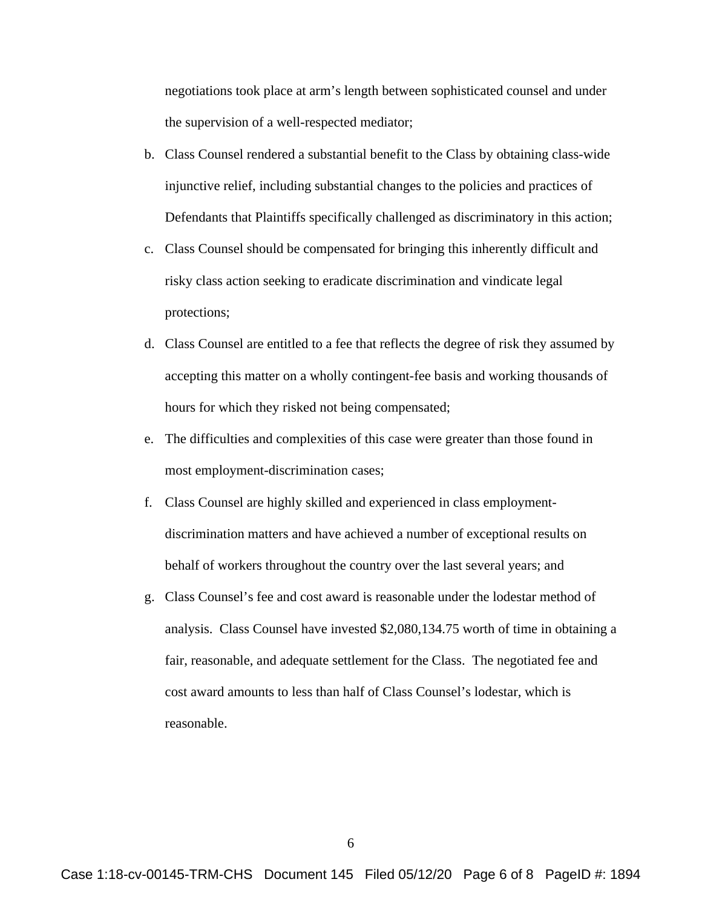negotiations took place at arm's length between sophisticated counsel and under the supervision of a well-respected mediator;

- b. Class Counsel rendered a substantial benefit to the Class by obtaining class-wide injunctive relief, including substantial changes to the policies and practices of Defendants that Plaintiffs specifically challenged as discriminatory in this action;
- c. Class Counsel should be compensated for bringing this inherently difficult and risky class action seeking to eradicate discrimination and vindicate legal protections;
- d. Class Counsel are entitled to a fee that reflects the degree of risk they assumed by accepting this matter on a wholly contingent-fee basis and working thousands of hours for which they risked not being compensated;
- e. The difficulties and complexities of this case were greater than those found in most employment-discrimination cases;
- f. Class Counsel are highly skilled and experienced in class employmentdiscrimination matters and have achieved a number of exceptional results on behalf of workers throughout the country over the last several years; and
- g. Class Counsel's fee and cost award is reasonable under the lodestar method of analysis. Class Counsel have invested \$2,080,134.75 worth of time in obtaining a fair, reasonable, and adequate settlement for the Class. The negotiated fee and cost award amounts to less than half of Class Counsel's lodestar, which is reasonable.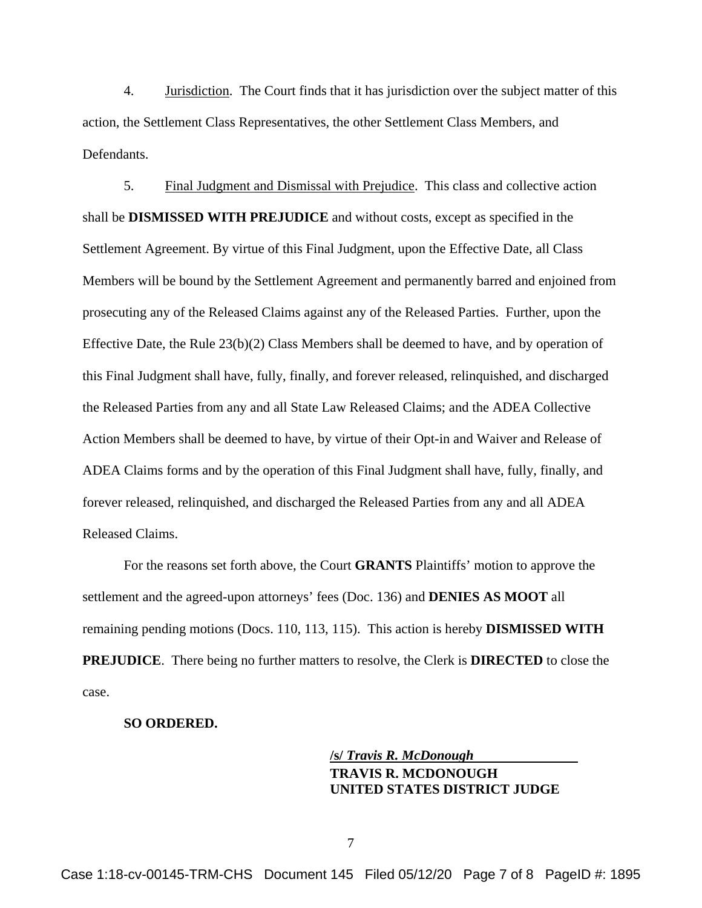4. Jurisdiction. The Court finds that it has jurisdiction over the subject matter of this action, the Settlement Class Representatives, the other Settlement Class Members, and Defendants.

5. Final Judgment and Dismissal with Prejudice. This class and collective action shall be **DISMISSED WITH PREJUDICE** and without costs, except as specified in the Settlement Agreement. By virtue of this Final Judgment, upon the Effective Date, all Class Members will be bound by the Settlement Agreement and permanently barred and enjoined from prosecuting any of the Released Claims against any of the Released Parties. Further, upon the Effective Date, the Rule 23(b)(2) Class Members shall be deemed to have, and by operation of this Final Judgment shall have, fully, finally, and forever released, relinquished, and discharged the Released Parties from any and all State Law Released Claims; and the ADEA Collective Action Members shall be deemed to have, by virtue of their Opt-in and Waiver and Release of ADEA Claims forms and by the operation of this Final Judgment shall have, fully, finally, and forever released, relinquished, and discharged the Released Parties from any and all ADEA Released Claims.

For the reasons set forth above, the Court **GRANTS** Plaintiffs' motion to approve the settlement and the agreed-upon attorneys' fees (Doc. 136) and **DENIES AS MOOT** all remaining pending motions (Docs. 110, 113, 115). This action is hereby **DISMISSED WITH PREJUDICE**. There being no further matters to resolve, the Clerk is **DIRECTED** to close the case.

#### **SO ORDERED.**

# **/s/** *Travis R. McDonough* **TRAVIS R. MCDONOUGH UNITED STATES DISTRICT JUDGE**